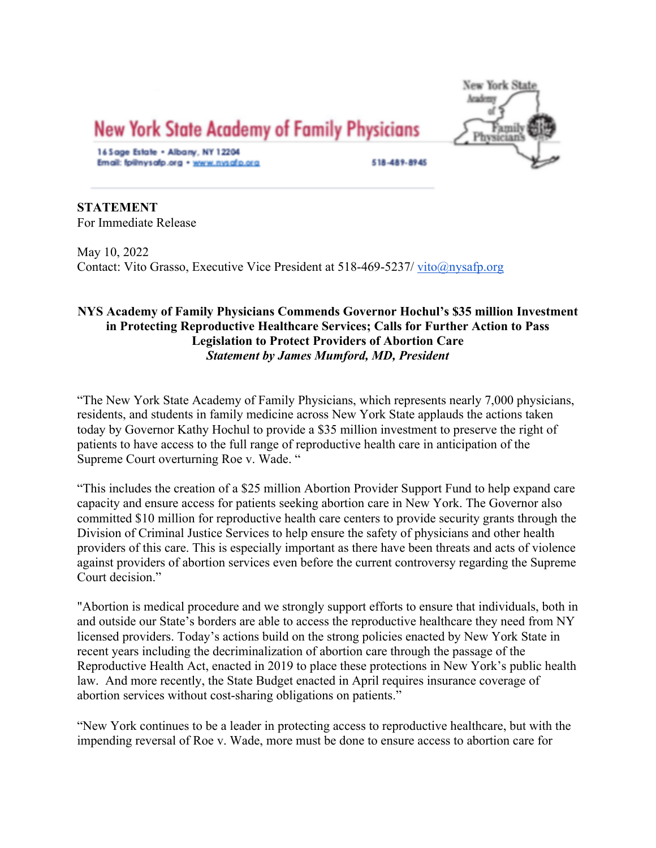

**STATEMENT** For Immediate Release

May 10, 2022 Contact: Vito Grasso, Executive Vice President at 518-469-5237/ vito@nysafp.org

# **NYS Academy of Family Physicians Commends Governor Hochul's \$35 million Investment in Protecting Reproductive Healthcare Services; Calls for Further Action to Pass Legislation to Protect Providers of Abortion Care** *Statement by James Mumford, MD, President*

"The New York State Academy of Family Physicians, which represents nearly 7,000 physicians, residents, and students in family medicine across New York State applauds the actions taken today by Governor Kathy Hochul to provide a \$35 million investment to preserve the right of patients to have access to the full range of reproductive health care in anticipation of the Supreme Court overturning Roe v. Wade. "

"This includes the creation of a \$25 million Abortion Provider Support Fund to help expand care capacity and ensure access for patients seeking abortion care in New York. The Governor also committed \$10 million for reproductive health care centers to provide security grants through the Division of Criminal Justice Services to help ensure the safety of physicians and other health providers of this care. This is especially important as there have been threats and acts of violence against providers of abortion services even before the current controversy regarding the Supreme Court decision."

"Abortion is medical procedure and we strongly support efforts to ensure that individuals, both in and outside our State's borders are able to access the reproductive healthcare they need from NY licensed providers. Today's actions build on the strong policies enacted by New York State in recent years including the decriminalization of abortion care through the passage of the Reproductive Health Act, enacted in 2019 to place these protections in New York's public health law. And more recently, the State Budget enacted in April requires insurance coverage of abortion services without cost-sharing obligations on patients."

"New York continues to be a leader in protecting access to reproductive healthcare, but with the impending reversal of Roe v. Wade, more must be done to ensure access to abortion care for